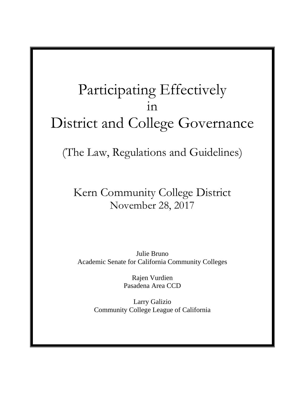# Participating Effectively in District and College Governance

(The Law, Regulations and Guidelines)

## Kern Community College District November 28, 2017

Julie Bruno Academic Senate for California Community Colleges

> Rajen Vurdien Pasadena Area CCD

Larry Galizio Community College League of California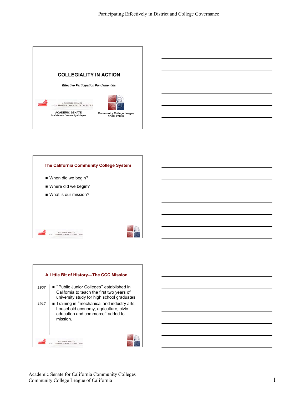



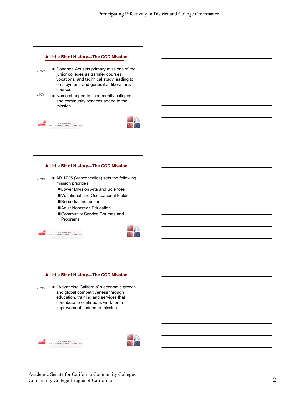



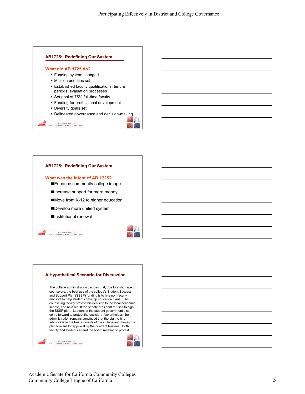



#### **What was the intent of AB 1725?**

- Enhance community college image
- Increase support for more money
- ■Move from K-12 to higher education
- Develop more unified system
- ■Institutional renewal

ACABEMIC SENATE

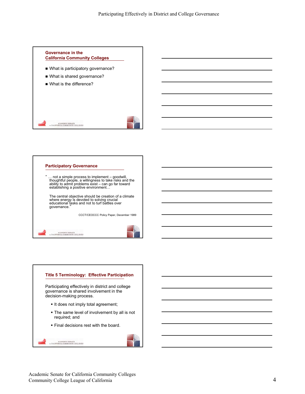



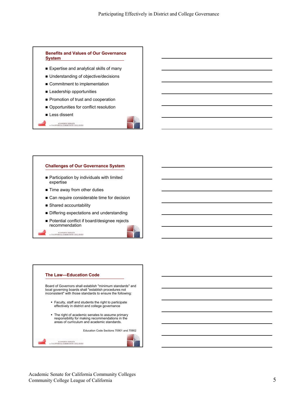

- Expertise and analytical skills of many
- Understanding of objective/decisions
- Commitment to implementation
- **E** Leadership opportunities
- Promotion of trust and cooperation
- Opportunities for conflict resolution
- **Less dissent**
- ${\bf \small \begin{tabular}{@{}c@{\thinspace}c@{\thinspace}c@{\thinspace}c@{\thinspace}c@{\thinspace}c@{\thinspace}c@{\thinspace}c@{\thinspace}c@{\thinspace}c@{\thinspace}c@{\thinspace}c@{\thinspace}c@{\thinspace}c@{\thinspace}c@{\thinspace}c@{\thinspace}c@{\thinspace}c@{\thinspace}c@{\thinspace}c@{\thinspace}c@{\thinspace}c@{\thinspace}c@{\thinspace}c@{\thinspace}c@{\thinspace}c@{\thinspace}c@{\thinspace}c@{\thinspace}c@{\thinspace}c@{\thinspace}c@{\thinspace}c@{\thinspace}c@{\thinspace}c@{\thinspace}c@{\th$

#### **Challenges of Our Governance System**

- **Participation by individuals with limited** expertise
- Time away from other duties
- Can require considerable time for decision
- Shared accountability
- **Differing expectations and understanding**
- Potential conflict if board/designee rejects recommendation

ACABEMIC SENATE

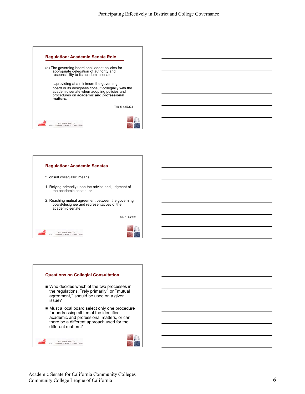



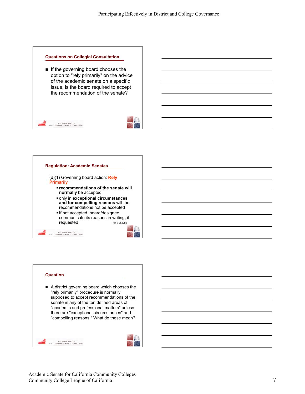#### **Questions on Collegial Consultation**

 $\blacksquare$  If the governing board chooses the option to "rely primarily" on the advice of the academic senate on a specific issue, is the board required to accept the recommendation of the senate?





#### **Question**





ACADEMIC SENATE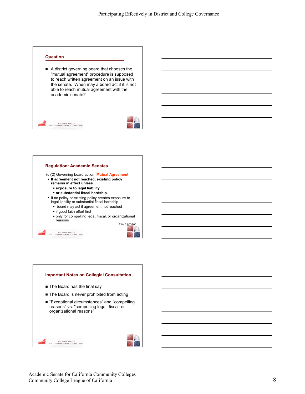

■ A district governing board that chooses the "mutual agreement" procedure is supposed to reach written agreement on an issue with the senate. When may a board act if it is not able to reach mutual agreement with the academic senate?





- **If agreement not reached, existing policy remains in effect unless** 
	- **exposure to legal liability**
	- **or substantial fiscal hardship.**
- **If no policy or existing policy creates exposure to** legal liability or substantial fiscal hardship
	- **•** board may act if agreement not reached
	- **if good faith effort first**

ACABEMIC SENATE

 only for compelling legal, fiscal, or organizational reasons

Title 5 §53200

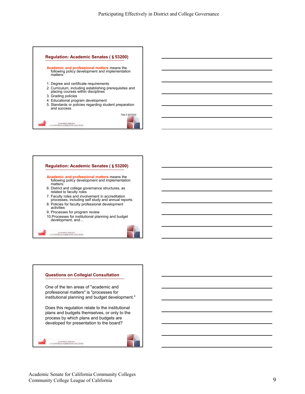





One of the ten areas of "academic and professional matters" is "processes for institutional planning and budget development."

Does this regulation relate to the institutional plans and budgets themselves, or only to the process by which plans and budgets are developed for presentation to the board?



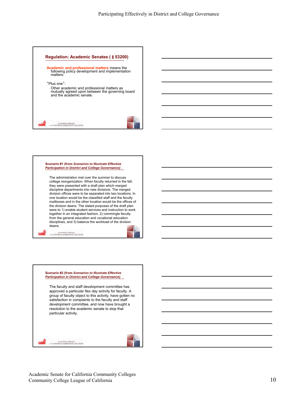

#### **Scenario #1 (from** *Scenarios to Illustrate Effective Participation in District and College Governance)*

The administration met over the summer to discuss college reorganization. When faculty returned in the fall, they were presented with a draft plan which merged discipline departments into new divisions. The merged division offices were to be separated into two locations. In one location would be the classified staff and the faculty mailboxes and in the other location would be the offices of the division deans. The stated purposes of the draft plan were to 1) enable student services and instruction to work together in an integrated fashion, 2) commingle faculty from the general education and vocational education disciplines, and 3) balance the workload of the division deans.

 ${\bf \small \begin{tabular}{c} \bf \small \color{red}{ACADEMIC} \end{tabular}}$   $\scriptstyle \color{red}{\bf \small \begin{tabular}{c} \bf \small \color{green}{\color{blue}{\bf \small \color{green}{\bf \small \color{green}{\bf \small \color{green}{\bf \small \color{green}{\bf \small \color{green}{\bf \small \color{green}{\bf \small \color{green}{\bf \small \color{green}{\bf \small \color{green}{\bf \small \color{green}{\bf \small \color{green}{\bf \small \color{green}{\bf \small \color{green}{\bf \small \color{green}{\bf \small \color{green}{\bf \small \color{green}{\bf \small \color{$ 

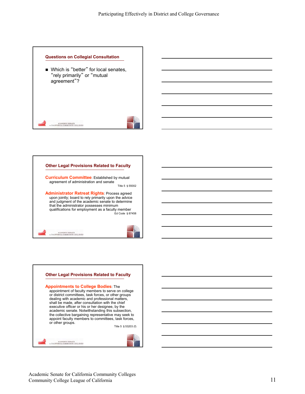#### **Questions on Collegial Consultation**

■ Which is "better" for local senates, "rely primarily" or "mutual agreement"?

 ${\bf \small \begin{tabular}{@{}c@{\thinspace}c@{\thinspace}c@{\thinspace}c@{\thinspace}c@{\thinspace}c@{\thinspace}c@{\thinspace}c@{\thinspace}c@{\thinspace}c@{\thinspace}c@{\thinspace}c@{\thinspace}c@{\thinspace}c@{\thinspace}c@{\thinspace}c@{\thinspace}c@{\thinspace}c@{\thinspace}c@{\thinspace}c@{\thinspace}c@{\thinspace}c@{\thinspace}c@{\thinspace}c@{\thinspace}c@{\thinspace}c@{\thinspace}c@{\thinspace}c@{\thinspace}c@{\thinspace}c@{\thinspace}c@{\thinspace}c@{\thinspace}c@{\thinspace}c@{\thinspace}c@{\th$ 



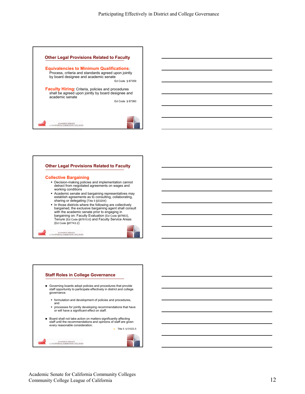

#### **Other Legal Provisions Related to Faculty**

#### **Collective Bargaining**

- Decision-making policies and implementation cannot detract from negotiated agreements on wages and working conditions
- Academic senate and bargaining representatives may establish agreements as to consulting, collaborating, sharing or delegating (Title 5 §53204)
- In those districts where the following are collectively bargained, the exclusive bargaining agent shall consult with the academic senate prior to engaging in<br>bargaining on: Faculty Evaluation (Ed Code §87663), Tenure (Ed Code §87610.6) and Faculty Service Areas (Ed Code §87743.2)

#### ${\bf \small \begin{tabular}{c} \bf \small \color{red}{ACADEMIC} \end{tabular}}$   $\scriptstyle \color{red}{\bf \small \color{green}{\bf \small \color{green}{\bf \small \color{green}{\bf \small \color{green}{\bf \small \color{green}{\bf \small \color{green}{\bf \small \color{green}{\bf \small \color{green}{\bf \small \color{green}{\bf \small \color{green}{\bf \small \color{green}{\bf \small \color{green}{\bf \small \color{green}{\bf \small \color{green}{\bf \small \color{green}{\bf \small \color{green}{\bf \small \color{green}{\bf \small \color{green}{\bf \small \color{green}{\bf \small \color$

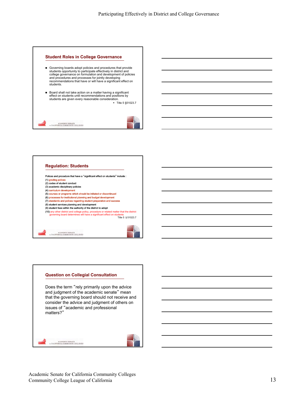#### **Student Roles in College Governance**

- Governing boards adopt policies and procedures that provide students opportunity to participate effectively in district and college governance on formulation and development of policies and procedures and processes for jointly developing recommendations that have or will have a significant effect on students.
- Board shall not take action on a matter having a significant effect on students until recommendations and positions by students are given every reasonable consideration. Title 5 §51023.7



#### **Regulation: Students** Polices and procedure that have a "significant effect on students" include : (1) grading polices (2) codes of student conduct (3) academic disciplinary policies (4) curriculum development (5) courses or programs which should be initiated or discontinued (6) processes for institutional planning and budget development (7) standards and polices regarding student preparation and success (8) student services planning and development (9) student fees within the authority of the district to adopt (10) any other district and college policy, procedure or related matter that the district governing board determines will have a significant effect on students Title 5 § 51023.7

 ${\bf \small \begin{tabular}{c} \bf \small \color{red}{ACADEMIC} \end{tabular}}$   $\scriptstyle \color{red}{\bf \small \begin{tabular}{c} \bf \small \color{green}{\color{blue}{\bf \small \color{green}{\bf \small \color{green}{\bf \small \color{green}{\bf \small \color{green}{\bf \small \color{green}{\bf \small \color{green}{\bf \small \color{green}{\bf \small \color{green}{\bf \small \color{green}{\bf \small \color{green}{\bf \small \color{green}{\bf \small \color{green}{\bf \small \color{green}{\bf \small \color{green}{\bf \small \color{green}{\bf \small \color{green}{\bf \small \color{$ 

**Question on Collegial Consultation** Does the term "rely primarily upon the advice and judgment of the academic senate" mean that the governing board should not receive and consider the advice and judgment of others on issues of "academic and professional matters?"

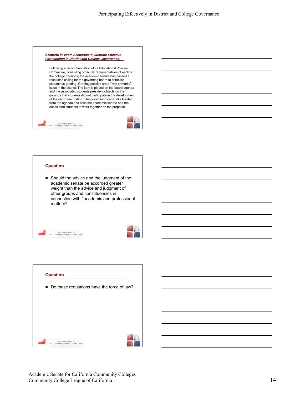

Following a recommendation of its Educational Policies Committee, consisting of faculty representatives of each of the college divisions, the academic senate has passed a resolution calling for the governing board to establish plus/minus grading. Grading policies are a "rely primarily" issue in the district. The item is placed on the board agenda and the associated students president objects on the grounds that students did not participate in the development of the recommendation. The governing board pulls the item from the agenda and asks the academic senate and the associated students to work together on the proposal.



### **Question**

Should the advice and the judgment of the academic senate be accorded greater weight than the advice and judgment of other groups and constituencies in connection with "academic and professional matters?"

 ${\bf \small \begin{tabular}{c} \bf \small \color{red}{ACADEMIC} \end{tabular}}$   $\scriptstyle \color{red}{\bf \small \begin{tabular}{c} \bf \small \color{green}{\color{blue}{\bf \small \color{green}{\bf \small \color{green}{\bf \small \color{green}{\bf \small \color{green}{\bf \small \color{green}{\bf \small \color{green}{\bf \small \color{green}{\bf \small \color{green}{\bf \small \color{green}{\bf \small \color{green}{\bf \small \color{green}{\bf \small \color{green}{\bf \small \color{green}{\bf \small \color{green}{\bf \small \color{green}{\bf \small \color{green}{\bf \small \color{$ 

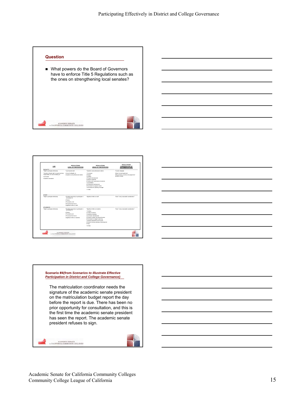#### **Question**

■ What powers do the Board of Governors have to enforce Title 5 Regulations such as the ones on strengthening local senates?



| LAW                                                                                                                      | <b>REGULATIONS</b><br><b>LEVEL OF PARTICIPATION</b>                                                                                                   | <b>REGULATIONS</b><br>AREAS OF PARTICIPATION                                                                                                                                                                                                                                           | <b>REGULATIONS</b><br><b>CONSIDERATION OF</b><br><b>RECOMMENDATIONS</b>                |
|--------------------------------------------------------------------------------------------------------------------------|-------------------------------------------------------------------------------------------------------------------------------------------------------|----------------------------------------------------------------------------------------------------------------------------------------------------------------------------------------------------------------------------------------------------------------------------------------|----------------------------------------------------------------------------------------|
| <b>FACULTY</b>                                                                                                           |                                                                                                                                                       |                                                                                                                                                                                                                                                                                        |                                                                                        |
| "Right to participate effectively                                                                                        | "I need howevil land."                                                                                                                                | "Academic and professional matters                                                                                                                                                                                                                                                     | "Consult collegially                                                                   |
| "Academic Senate right to assume primary<br>responsibility for recommending on:<br>aControlom<br>a firmchamic standards. | .Consult collegially on<br>. Academic and professional matters                                                                                        | 1. Curriculum<br>2 Degree<br>3.Grading<br>4.Program development<br>5.Student standards<br>6.Faculty role in opvernance structures<br>7 Arrestitation<br>8.Professional development<br>9. Processes for program review<br>10 Processes for planning & budget<br>11.0 fun                | -Reach mutual acreement<br>«Rely orimarly on advice and ludgment of<br>scartage senate |
| <b>STAFF</b>                                                                                                             |                                                                                                                                                       |                                                                                                                                                                                                                                                                                        |                                                                                        |
| "Right to participate effectively                                                                                        | *Provided opportunity to participate in<br>from deter of<br>.Deleter<br>afterward.com and<br>.Processes that have a<br>. Significant effect on staff. | "Significant effect on staff                                                                                                                                                                                                                                                           | "Given "every reasonable consideration"                                                |
| STUDENTS<br>"Right to participate effectively                                                                            | "Provided opportunity to participate in                                                                                                               | "Significant effect on students                                                                                                                                                                                                                                                        | "Given "every reasonable consideration"                                                |
|                                                                                                                          | fremclation of<br>.Dolches<br>afterwarkers and<br>.Processes that have a<br>. Scriftcart effect on students.                                          | 1. Grading<br>2. Codes of conduct<br>3 Academic discipline<br>4. Curriculum development<br>5.Program creation and discontinuance<br>6.Processes for budget & planning<br>7.Student preparation and success<br>8.Student services planning & development.<br><b>Q Faxes</b><br>10.Other |                                                                                        |







 ${\bf \small \begin{tabular}{c} \bf \small \color{red}{ACADENIC} \end{tabular}}$   $\scriptstyle \color{red}{\bf \small \color{red}{\bf \small \color{green}{\bf \small \color{green}{\bf \small \color{green}{\bf \small \color{green}{\bf \small \color{green}{\bf \small \color{green}{\bf \small \color{green}{\bf \small \color{green}{\bf \small \color{green}{\bf \small \color{green}{\bf \small \color{green}{\bf \small \color{green}{\bf \small \color{green}{\bf \small \color{green}{\bf \small \color{green}{\bf \small \color{green}{\bf \small \color{green}{\bf \small \color{green}{\bf \small \color$